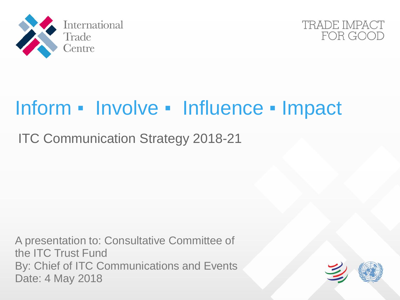



# Inform ▪ Involve ▪ Influence ▪ Impact

ITC Communication Strategy 2018-21

A presentation to: Consultative Committee of the ITC Trust Fund By: Chief of ITC Communications and Events Date: 4 May 2018

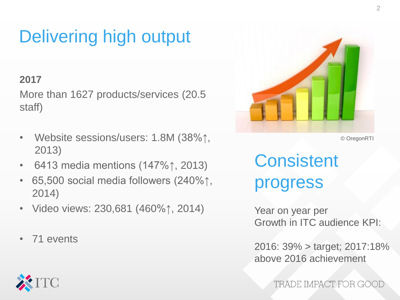## Delivering high output

### **2017**

More than 1627 products/services (20.5 staff)

- Website sessions/users: 1.8M (38%↑, 2013)
- 6413 media mentions (147%↑, 2013)
- 65,500 social media followers (240%↑, 2014)
- Video views: 230,681 (460%↑, 2014)
- 71 events



© OregonRTI

**Consistent** progress

Year on year per Growth in ITC audience KPI:

2016: 39% > target; 2017:18% above 2016 achievement

TRADE IMPACT FOR GOOD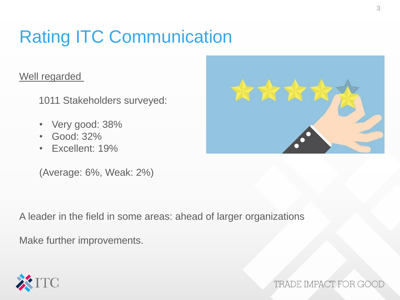## Rating ITC Communication

#### Well regarded

1011 Stakeholders surveyed:

- Very good: 38%
- Good: 32%
- Excellent: 19%

(Average: 6%, Weak: 2%)

A leader in the field in some areas: ahead of larger organizations

Make further improvements.







TRADE IMPACT FOR GO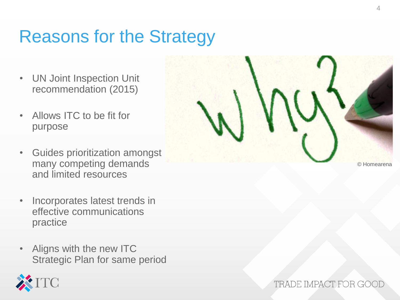### Reasons for the Strategy

- UN Joint Inspection Unit recommendation (2015)
- Allows ITC to be fit for purpose
- Guides prioritization amongst many competing demands and limited resources
- Incorporates latest trends in effective communications practice
- Aligns with the new ITC Strategic Plan for same period





© Homearena

#### TRADE IMPACT FOR GOOI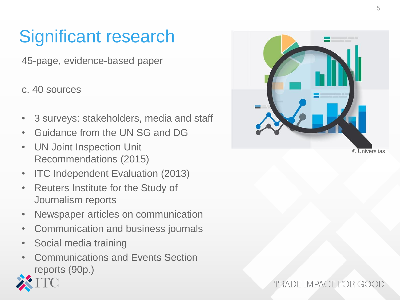## Significant research

45-page, evidence-based paper

c. 40 sources

- 3 surveys: stakeholders, media and staff
- Guidance from the UN SG and DG
- UN Joint Inspection Unit Recommendations (2015)
- ITC Independent Evaluation (2013)
- Reuters Institute for the Study of Journalism reports
- Newspaper articles on communication
- Communication and business journals
- Social media training
- Communications and Events Section reports (90p.)





#### TRADE IMPACT FOR GO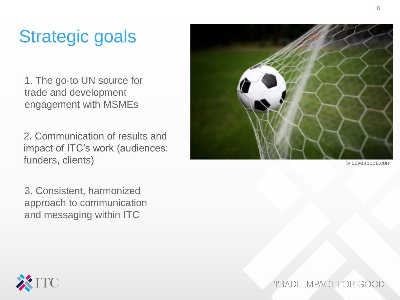## Strategic goals

1. The go-to UN source for trade and development engagement with MSMEs

2. Communication of results and impact of ITC's work (audiences: funders, clients) © Loveabode.com

3. Consistent, harmonized approach to communication and messaging within ITC



TRADE IMPACT FOR GOO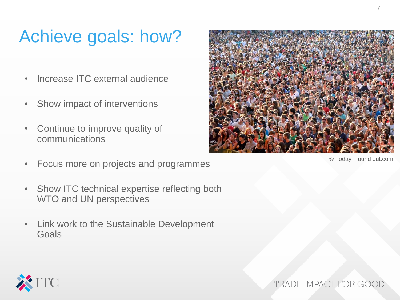### Achieve goals: how?

- Increase ITC external audience
- Show impact of interventions
- Continue to improve quality of communications
- Focus more on projects and programmes
- Show ITC technical expertise reflecting both WTO and UN perspectives
- Link work to the Sustainable Development Goals



© Today I found out.com



TRADE IMPACT FOR GOO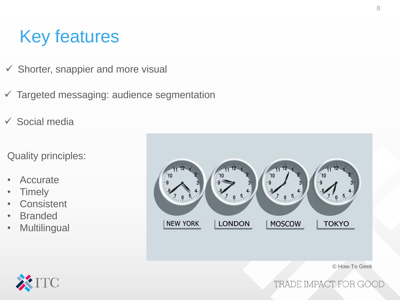### Key features

- $\checkmark$  Shorter, snappier and more visual
- $\checkmark$  Targeted messaging: audience segmentation
- $\checkmark$  Social media

Quality principles:

- Accurate
- Timely
- Consistent
- Branded
- Multilingual



© How-To Geek



TRADE IMPACT FOR GOOD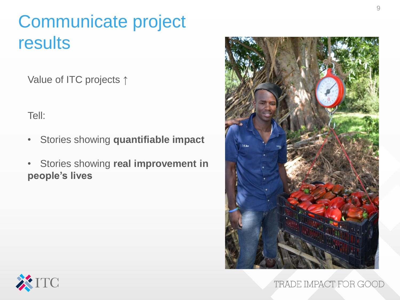## Communicate project results

Value of ITC projects ↑

Tell:

- Stories showing **quantifiable impact**
- Stories showing **real improvement in people's lives**





TRADE IMPACT FOR GOOD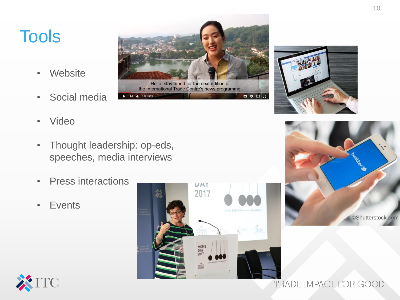### Tools

- Website
- Social media
- Video
- Thought leadership: op-eds, speeches, media interviews

 $\blacktriangleright$  |  $\blacklozenge$  | 0:02 / 0:28

- Press interactions
- Events

C



Hello, stay tuned for the next edition of the International Trade Centre's news programme,



■ ◆ □ □